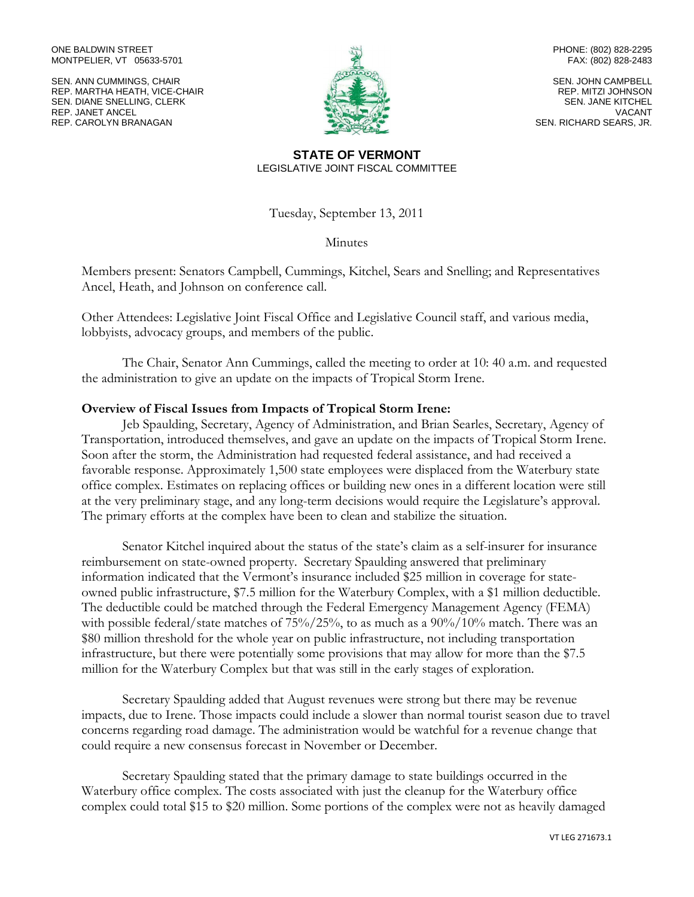#### ONE BALDWIN STREET MONTPELIER, VT 05633-5701

SEN. ANN CUMMINGS, CHAIR REP. MARTHA HEATH, VICE-CHAIR SEN. DIANE SNELLING, CLERK REP. JANET ANCEL REP. CAROLYN BRANAGAN



PHONE: (802) 828-2295 FAX: (802) 828-2483

SEN. JOHN CAMPBELL REP. MITZI JOHNSON SEN. JANE KITCHEL VACANT SEN. RICHARD SEARS, JR.

### **STATE OF VERMONT** LEGISLATIVE JOINT FISCAL COMMITTEE

Tuesday, September 13, 2011

Minutes

Members present: Senators Campbell, Cummings, Kitchel, Sears and Snelling; and Representatives Ancel, Heath, and Johnson on conference call.

Other Attendees: Legislative Joint Fiscal Office and Legislative Council staff, and various media, lobbyists, advocacy groups, and members of the public.

The Chair, Senator Ann Cummings, called the meeting to order at 10: 40 a.m. and requested the administration to give an update on the impacts of Tropical Storm Irene.

## **Overview of Fiscal Issues from Impacts of Tropical Storm Irene:**

Jeb Spaulding, Secretary, Agency of Administration, and Brian Searles, Secretary, Agency of Transportation, introduced themselves, and gave an update on the impacts of Tropical Storm Irene. Soon after the storm, the Administration had requested federal assistance, and had received a favorable response. Approximately 1,500 state employees were displaced from the Waterbury state office complex. Estimates on replacing offices or building new ones in a different location were still at the very preliminary stage, and any long-term decisions would require the Legislature's approval. The primary efforts at the complex have been to clean and stabilize the situation.

Senator Kitchel inquired about the status of the state's claim as a self-insurer for insurance reimbursement on state-owned property. Secretary Spaulding answered that preliminary information indicated that the Vermont's insurance included \$25 million in coverage for stateowned public infrastructure, \$7.5 million for the Waterbury Complex, with a \$1 million deductible. The deductible could be matched through the Federal Emergency Management Agency (FEMA) with possible federal/state matches of 75%/25%, to as much as a 90%/10% match. There was an \$80 million threshold for the whole year on public infrastructure, not including transportation infrastructure, but there were potentially some provisions that may allow for more than the \$7.5 million for the Waterbury Complex but that was still in the early stages of exploration.

Secretary Spaulding added that August revenues were strong but there may be revenue impacts, due to Irene. Those impacts could include a slower than normal tourist season due to travel concerns regarding road damage. The administration would be watchful for a revenue change that could require a new consensus forecast in November or December.

Secretary Spaulding stated that the primary damage to state buildings occurred in the Waterbury office complex. The costs associated with just the cleanup for the Waterbury office complex could total \$15 to \$20 million. Some portions of the complex were not as heavily damaged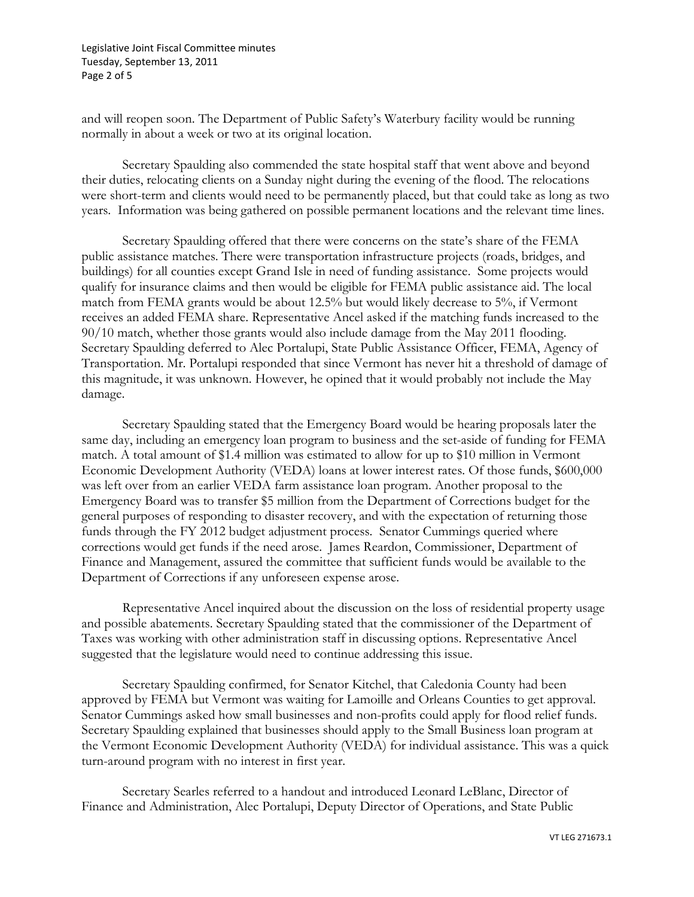Legislative Joint Fiscal Committee minutes Tuesday, September 13, 2011 Page 2 of 5

and will reopen soon. The Department of Public Safety's Waterbury facility would be running normally in about a week or two at its original location.

Secretary Spaulding also commended the state hospital staff that went above and beyond their duties, relocating clients on a Sunday night during the evening of the flood. The relocations were short-term and clients would need to be permanently placed, but that could take as long as two years. Information was being gathered on possible permanent locations and the relevant time lines.

Secretary Spaulding offered that there were concerns on the state's share of the FEMA public assistance matches. There were transportation infrastructure projects (roads, bridges, and buildings) for all counties except Grand Isle in need of funding assistance. Some projects would qualify for insurance claims and then would be eligible for FEMA public assistance aid. The local match from FEMA grants would be about 12.5% but would likely decrease to 5%, if Vermont receives an added FEMA share. Representative Ancel asked if the matching funds increased to the 90/10 match, whether those grants would also include damage from the May 2011 flooding. Secretary Spaulding deferred to Alec Portalupi, State Public Assistance Officer, FEMA, Agency of Transportation. Mr. Portalupi responded that since Vermont has never hit a threshold of damage of this magnitude, it was unknown. However, he opined that it would probably not include the May damage.

Secretary Spaulding stated that the Emergency Board would be hearing proposals later the same day, including an emergency loan program to business and the set-aside of funding for FEMA match. A total amount of \$1.4 million was estimated to allow for up to \$10 million in Vermont Economic Development Authority (VEDA) loans at lower interest rates. Of those funds, \$600,000 was left over from an earlier VEDA farm assistance loan program. Another proposal to the Emergency Board was to transfer \$5 million from the Department of Corrections budget for the general purposes of responding to disaster recovery, and with the expectation of returning those funds through the FY 2012 budget adjustment process. Senator Cummings queried where corrections would get funds if the need arose. James Reardon, Commissioner, Department of Finance and Management, assured the committee that sufficient funds would be available to the Department of Corrections if any unforeseen expense arose.

Representative Ancel inquired about the discussion on the loss of residential property usage and possible abatements. Secretary Spaulding stated that the commissioner of the Department of Taxes was working with other administration staff in discussing options. Representative Ancel suggested that the legislature would need to continue addressing this issue.

Secretary Spaulding confirmed, for Senator Kitchel, that Caledonia County had been approved by FEMA but Vermont was waiting for Lamoille and Orleans Counties to get approval. Senator Cummings asked how small businesses and non-profits could apply for flood relief funds. Secretary Spaulding explained that businesses should apply to the Small Business loan program at the Vermont Economic Development Authority (VEDA) for individual assistance. This was a quick turn-around program with no interest in first year.

Secretary Searles referred to a handout and introduced Leonard LeBlanc, Director of Finance and Administration, Alec Portalupi, Deputy Director of Operations, and State Public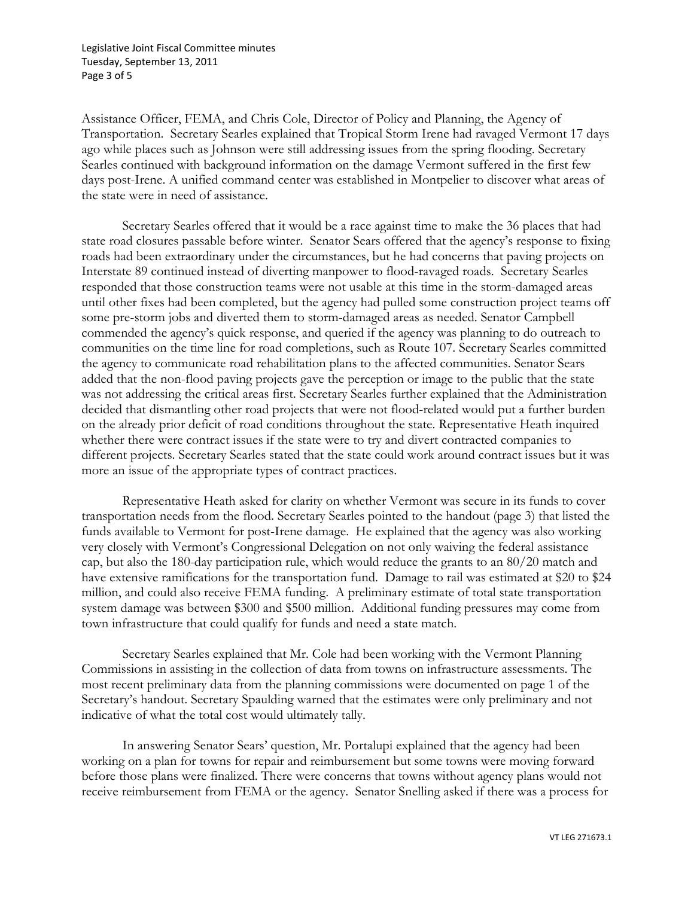Legislative Joint Fiscal Committee minutes Tuesday, September 13, 2011 Page 3 of 5

Assistance Officer, FEMA, and Chris Cole, Director of Policy and Planning, the Agency of Transportation. Secretary Searles explained that Tropical Storm Irene had ravaged Vermont 17 days ago while places such as Johnson were still addressing issues from the spring flooding. Secretary Searles continued with background information on the damage Vermont suffered in the first few days post-Irene. A unified command center was established in Montpelier to discover what areas of the state were in need of assistance.

Secretary Searles offered that it would be a race against time to make the 36 places that had state road closures passable before winter. Senator Sears offered that the agency's response to fixing roads had been extraordinary under the circumstances, but he had concerns that paving projects on Interstate 89 continued instead of diverting manpower to flood-ravaged roads. Secretary Searles responded that those construction teams were not usable at this time in the storm-damaged areas until other fixes had been completed, but the agency had pulled some construction project teams off some pre-storm jobs and diverted them to storm-damaged areas as needed. Senator Campbell commended the agency's quick response, and queried if the agency was planning to do outreach to communities on the time line for road completions, such as Route 107. Secretary Searles committed the agency to communicate road rehabilitation plans to the affected communities. Senator Sears added that the non-flood paving projects gave the perception or image to the public that the state was not addressing the critical areas first. Secretary Searles further explained that the Administration decided that dismantling other road projects that were not flood-related would put a further burden on the already prior deficit of road conditions throughout the state. Representative Heath inquired whether there were contract issues if the state were to try and divert contracted companies to different projects. Secretary Searles stated that the state could work around contract issues but it was more an issue of the appropriate types of contract practices.

Representative Heath asked for clarity on whether Vermont was secure in its funds to cover transportation needs from the flood. Secretary Searles pointed to the handout (page 3) that listed the funds available to Vermont for post-Irene damage. He explained that the agency was also working very closely with Vermont's Congressional Delegation on not only waiving the federal assistance cap, but also the 180-day participation rule, which would reduce the grants to an 80/20 match and have extensive ramifications for the transportation fund. Damage to rail was estimated at \$20 to \$24 million, and could also receive FEMA funding. A preliminary estimate of total state transportation system damage was between \$300 and \$500 million. Additional funding pressures may come from town infrastructure that could qualify for funds and need a state match.

Secretary Searles explained that Mr. Cole had been working with the Vermont Planning Commissions in assisting in the collection of data from towns on infrastructure assessments. The most recent preliminary data from the planning commissions were documented on page 1 of the Secretary's handout. Secretary Spaulding warned that the estimates were only preliminary and not indicative of what the total cost would ultimately tally.

In answering Senator Sears' question, Mr. Portalupi explained that the agency had been working on a plan for towns for repair and reimbursement but some towns were moving forward before those plans were finalized. There were concerns that towns without agency plans would not receive reimbursement from FEMA or the agency. Senator Snelling asked if there was a process for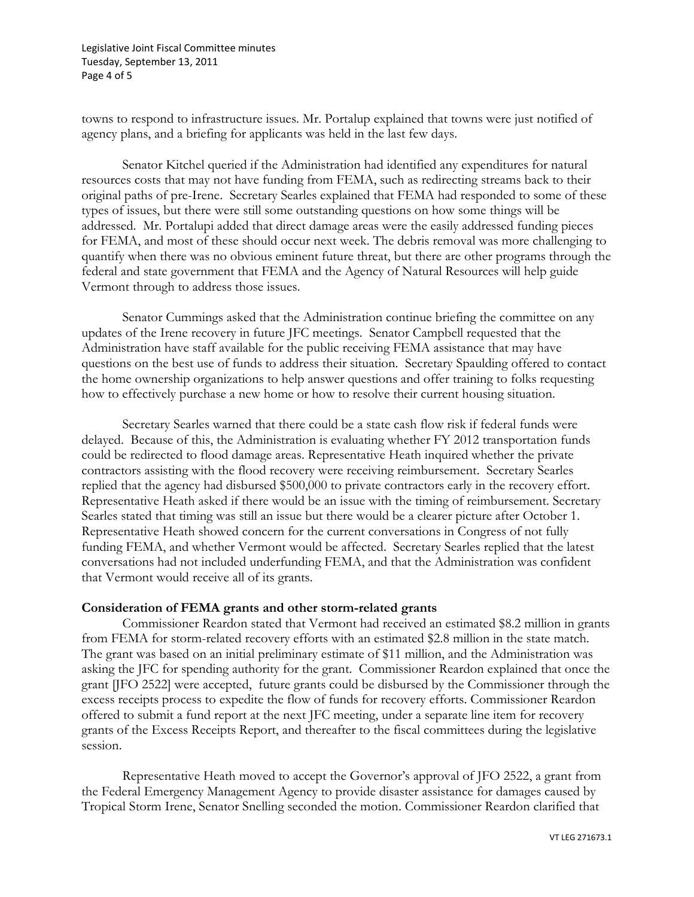Legislative Joint Fiscal Committee minutes Tuesday, September 13, 2011 Page 4 of 5

towns to respond to infrastructure issues. Mr. Portalup explained that towns were just notified of agency plans, and a briefing for applicants was held in the last few days.

Senator Kitchel queried if the Administration had identified any expenditures for natural resources costs that may not have funding from FEMA, such as redirecting streams back to their original paths of pre-Irene. Secretary Searles explained that FEMA had responded to some of these types of issues, but there were still some outstanding questions on how some things will be addressed. Mr. Portalupi added that direct damage areas were the easily addressed funding pieces for FEMA, and most of these should occur next week. The debris removal was more challenging to quantify when there was no obvious eminent future threat, but there are other programs through the federal and state government that FEMA and the Agency of Natural Resources will help guide Vermont through to address those issues.

Senator Cummings asked that the Administration continue briefing the committee on any updates of the Irene recovery in future JFC meetings. Senator Campbell requested that the Administration have staff available for the public receiving FEMA assistance that may have questions on the best use of funds to address their situation. Secretary Spaulding offered to contact the home ownership organizations to help answer questions and offer training to folks requesting how to effectively purchase a new home or how to resolve their current housing situation.

Secretary Searles warned that there could be a state cash flow risk if federal funds were delayed. Because of this, the Administration is evaluating whether FY 2012 transportation funds could be redirected to flood damage areas. Representative Heath inquired whether the private contractors assisting with the flood recovery were receiving reimbursement. Secretary Searles replied that the agency had disbursed \$500,000 to private contractors early in the recovery effort. Representative Heath asked if there would be an issue with the timing of reimbursement. Secretary Searles stated that timing was still an issue but there would be a clearer picture after October 1. Representative Heath showed concern for the current conversations in Congress of not fully funding FEMA, and whether Vermont would be affected. Secretary Searles replied that the latest conversations had not included underfunding FEMA, and that the Administration was confident that Vermont would receive all of its grants.

## **Consideration of FEMA grants and other storm-related grants**

Commissioner Reardon stated that Vermont had received an estimated \$8.2 million in grants from FEMA for storm-related recovery efforts with an estimated \$2.8 million in the state match. The grant was based on an initial preliminary estimate of \$11 million, and the Administration was asking the JFC for spending authority for the grant. Commissioner Reardon explained that once the grant [JFO 2522] were accepted, future grants could be disbursed by the Commissioner through the excess receipts process to expedite the flow of funds for recovery efforts. Commissioner Reardon offered to submit a fund report at the next JFC meeting, under a separate line item for recovery grants of the Excess Receipts Report, and thereafter to the fiscal committees during the legislative session.

Representative Heath moved to accept the Governor's approval of JFO 2522, a grant from the Federal Emergency Management Agency to provide disaster assistance for damages caused by Tropical Storm Irene, Senator Snelling seconded the motion. Commissioner Reardon clarified that